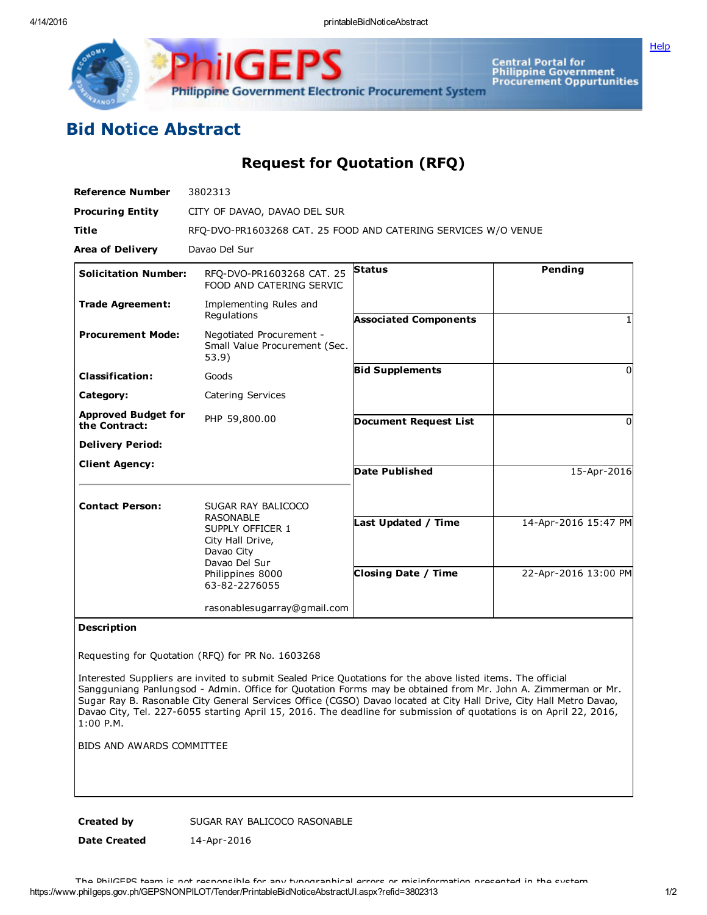

**[Help](javascript:void(window.open()** 

## Bid Notice Abstract

Request for Quotation (RFQ)

GE

| <b>Reference Number</b>                     | 3802313                                                             |                              |                      |
|---------------------------------------------|---------------------------------------------------------------------|------------------------------|----------------------|
| <b>Procuring Entity</b>                     | CITY OF DAVAO, DAVAO DEL SUR                                        |                              |                      |
| <b>Title</b>                                | RFO-DVO-PR1603268 CAT. 25 FOOD AND CATERING SERVICES W/O VENUE      |                              |                      |
| <b>Area of Delivery</b>                     | Davao Del Sur                                                       |                              |                      |
| <b>Solicitation Number:</b>                 | RFQ-DVO-PR1603268 CAT. 25<br>FOOD AND CATERING SERVIC               | <b>Status</b>                | Pending              |
| <b>Trade Agreement:</b>                     | Implementing Rules and<br>Regulations                               | <b>Associated Components</b> |                      |
| <b>Procurement Mode:</b>                    | Negotiated Procurement -<br>Small Value Procurement (Sec.<br>53.9)  |                              |                      |
| <b>Classification:</b>                      | Goods                                                               | <b>Bid Supplements</b>       | $\Omega$             |
| Category:                                   | Catering Services                                                   |                              |                      |
| <b>Approved Budget for</b><br>the Contract: | PHP 59,800.00                                                       | <b>Document Request List</b> | 0                    |
| <b>Delivery Period:</b>                     |                                                                     |                              |                      |
| <b>Client Agency:</b>                       |                                                                     | <b>Date Published</b>        | 15-Apr-2016          |
| <b>Contact Person:</b>                      | SUGAR RAY BALICOCO<br><b>RASONABLE</b>                              |                              |                      |
|                                             | SUPPLY OFFICER 1<br>City Hall Drive,<br>Davao City<br>Davao Del Sur | Last Updated / Time          | 14-Apr-2016 15:47 PM |
|                                             | Philippines 8000<br>63-82-2276055                                   | <b>Closing Date / Time</b>   | 22-Apr-2016 13:00 PM |
|                                             | rasonablesugarray@gmail.com                                         |                              |                      |

## Description

Requesting for Quotation (RFQ) for PR No. 1603268

Interested Suppliers are invited to submit Sealed Price Quotations for the above listed items. The official Sangguniang Panlungsod Admin. Office for Quotation Forms may be obtained from Mr. John A. Zimmerman or Mr. Sugar Ray B. Rasonable City General Services Office (CGSO) Davao located at City Hall Drive, City Hall Metro Davao, Davao City, Tel. 227-6055 starting April 15, 2016. The deadline for submission of quotations is on April 22, 2016, 1:00 P.M.

BIDS AND AWARDS COMMITTEE

Created by SUGAR RAY BALICOCO RASONABLE

Date Created 14-Apr-2016